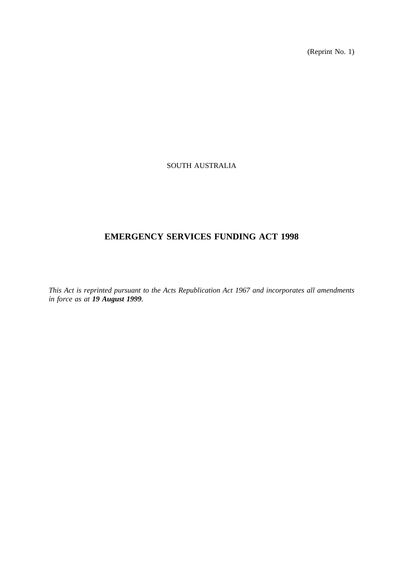(Reprint No. 1)

# SOUTH AUSTRALIA

# **EMERGENCY SERVICES FUNDING ACT 1998**

*This Act is reprinted pursuant to the Acts Republication Act 1967 and incorporates all amendments in force as at 19 August 1999.*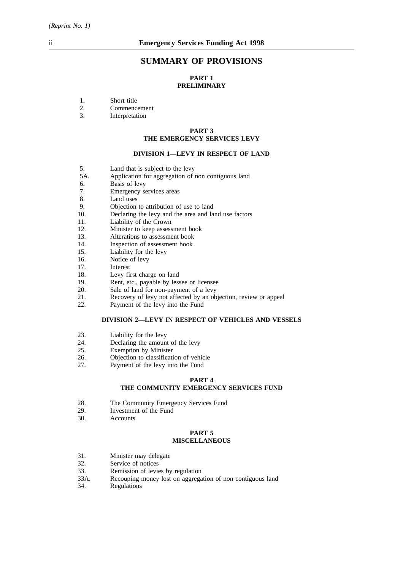# **SUMMARY OF PROVISIONS**

# **PART 1 PRELIMINARY**

- 1. Short title
- 2. Commencement
- 3. Interpretation

#### **PART 3 THE EMERGENCY SERVICES LEVY**

#### **DIVISION 1—LEVY IN RESPECT OF LAND**

- 5. Land that is subject to the levy
- 5A. Application for aggregation of non contiguous land
- 6. Basis of levy
- 7. Emergency services areas
- 8. Land uses<br>9. Objection
- 9. Objection to attribution of use to land<br>10. Declaring the levy and the area and la
- Declaring the levy and the area and land use factors
- 11. Liability of the Crown
- 12. Minister to keep assessment book
- 13. Alterations to assessment book
- 14. Inspection of assessment book
- 15. Liability for the levy
- 16. Notice of levy<br>17 Interest
- **Interest**
- 18. Levy first charge on land<br>19. Rent. etc., pavable by less
- 19. Rent, etc., payable by lessee or licensee<br>20. Sale of land for non-payment of a levy
- Sale of land for non-payment of a levy
- 21. Recovery of levy not affected by an objection, review or appeal
- 22. Payment of the levy into the Fund

#### **DIVISION 2—LEVY IN RESPECT OF VEHICLES AND VESSELS**

- 23. Liability for the levy
- 24. Declaring the amount of the levy<br>25. Exemption by Minister
- Exemption by Minister
- 26. Objection to classification of vehicle
- 27. Payment of the levy into the Fund

# **PART 4**

# **THE COMMUNITY EMERGENCY SERVICES FUND**

- 28. The Community Emergency Services Fund<br>29. Investment of the Fund
- 29. Investment of the Fund<br>30. Accounts
- **Accounts**

#### **PART 5 MISCELLANEOUS**

- 31. Minister may delegate
- 32. Service of notices<br>33. Remission of levie
- Remission of levies by regulation
- 33A. Recouping money lost on aggregation of non contiguous land
- 34. Regulations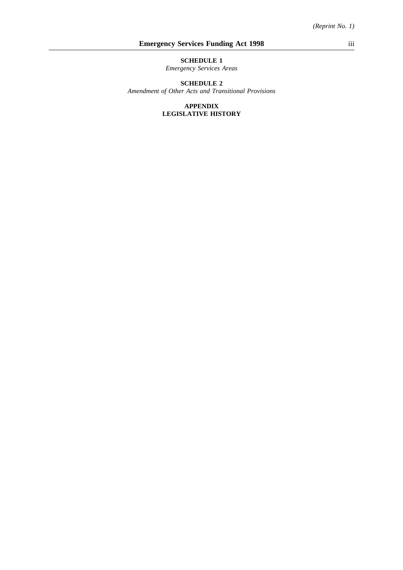# **SCHEDULE 1**

*Emergency Services Areas*

**SCHEDULE 2**

*Amendment of Other Acts and Transitional Provisions*

**APPENDIX LEGISLATIVE HISTORY**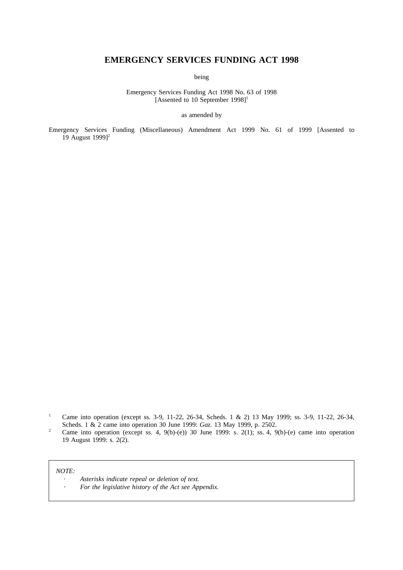# **EMERGENCY SERVICES FUNDING ACT 1998**

being

Emergency Services Funding Act 1998 No. 63 of 1998 [Assented to 10 September  $1998$ ]<sup>1</sup>

as amended by

Emergency Services Funding (Miscellaneous) Amendment Act 1999 No. 61 of 1999 [Assented to 19 August  $1999$ <sup>2</sup>

*NOTE:*

*Asterisks indicate repeal or deletion of text.*

*For the legislative history of the Act see Appendix.*

<sup>&</sup>lt;sup>1</sup> Came into operation (except ss. 3-9, 11-22, 26-34, Scheds. 1 & 2) 13 May 1999; ss. 3-9, 11-22, 26-34, Scheds.1&2 came into operation 30 June 1999: *Gaz*. 13 May 1999, p. 2502.

<sup>&</sup>lt;sup>2</sup> Came into operation (except ss. 4, 9(b)-(e)) 30 June 1999: s. 2(1); ss. 4, 9(b)-(e) came into operation 19 August 1999: s. 2(2).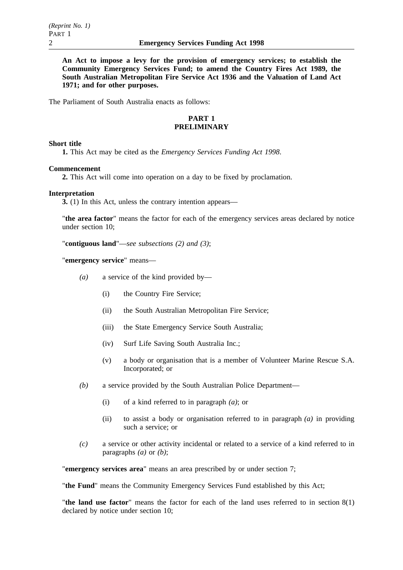**An Act to impose a levy for the provision of emergency services; to establish the Community Emergency Services Fund; to amend the Country Fires Act 1989, the South Australian Metropolitan Fire Service Act 1936 and the Valuation of Land Act 1971; and for other purposes.**

The Parliament of South Australia enacts as follows:

# **PART 1 PRELIMINARY**

#### **Short title**

**1.** This Act may be cited as the *Emergency Services Funding Act 1998*.

#### **Commencement**

**2.** This Act will come into operation on a day to be fixed by proclamation.

#### **Interpretation**

**3.** (1) In this Act, unless the contrary intention appears—

"**the area factor**" means the factor for each of the emergency services areas declared by notice under section 10;

"**contiguous land**"—*see subsections (2) and (3)*;

"**emergency service**" means—

*(a)* a service of the kind provided by—

- (i) the Country Fire Service;
- (ii) the South Australian Metropolitan Fire Service;
- (iii) the State Emergency Service South Australia;
- (iv) Surf Life Saving South Australia Inc.;
- (v) a body or organisation that is a member of Volunteer Marine Rescue S.A. Incorporated; or
- *(b)* a service provided by the South Australian Police Department—
	- (i) of a kind referred to in paragraph *(a)*; or
	- (ii) to assist a body or organisation referred to in paragraph *(a)* in providing such a service; or
- *(c)* a service or other activity incidental or related to a service of a kind referred to in paragraphs *(a)* or *(b)*;

"**emergency services area**" means an area prescribed by or under section 7;

"**the Fund**" means the Community Emergency Services Fund established by this Act;

"**the land use factor**" means the factor for each of the land uses referred to in section 8(1) declared by notice under section 10;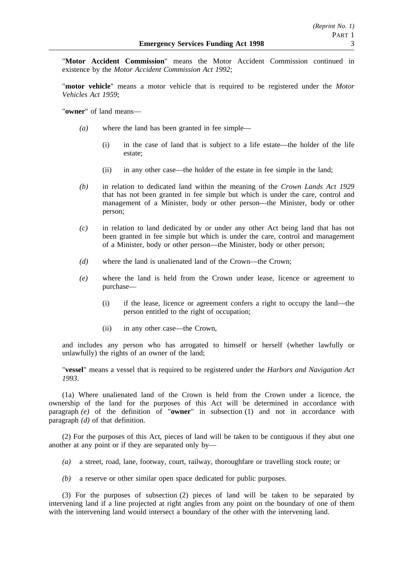"**Motor Accident Commission**" means the Motor Accident Commission continued in existence by the *Motor Accident Commission Act 1992*;

"**motor vehicle**" means a motor vehicle that is required to be registered under the *Motor Vehicles Act 1959*;

"**owner**" of land means—

- *(a)* where the land has been granted in fee simple—
	- (i) in the case of land that is subject to a life estate—the holder of the life estate;
	- (ii) in any other case—the holder of the estate in fee simple in the land;
- *(b)* in relation to dedicated land within the meaning of the *Crown Lands Act 1929* that has not been granted in fee simple but which is under the care, control and management of a Minister, body or other person—the Minister, body or other person;
- *(c)* in relation to land dedicated by or under any other Act being land that has not been granted in fee simple but which is under the care, control and management of a Minister, body or other person—the Minister, body or other person;
- *(d)* where the land is unalienated land of the Crown—the Crown;
- *(e)* where the land is held from the Crown under lease, licence or agreement to purchase—
	- (i) if the lease, licence or agreement confers a right to occupy the land—the person entitled to the right of occupation;
	- (ii) in any other case—the Crown,

and includes any person who has arrogated to himself or herself (whether lawfully or unlawfully) the rights of an owner of the land;

"**vessel**" means a vessel that is required to be registered under the *Harbors and Navigation Act 1993*.

(1a) Where unalienated land of the Crown is held from the Crown under a licence, the ownership of the land for the purposes of this Act will be determined in accordance with paragraph *(e)* of the definition of "**owner**" in subsection (1) and not in accordance with paragraph *(d)* of that definition.

(2) For the purposes of this Act, pieces of land will be taken to be contiguous if they abut one another at any point or if they are separated only by—

- *(a)* a street, road, lane, footway, court, railway, thoroughfare or travelling stock route; or
- *(b)* a reserve or other similar open space dedicated for public purposes.

(3) For the purposes of subsection (2) pieces of land will be taken to be separated by intervening land if a line projected at right angles from any point on the boundary of one of them with the intervening land would intersect a boundary of the other with the intervening land.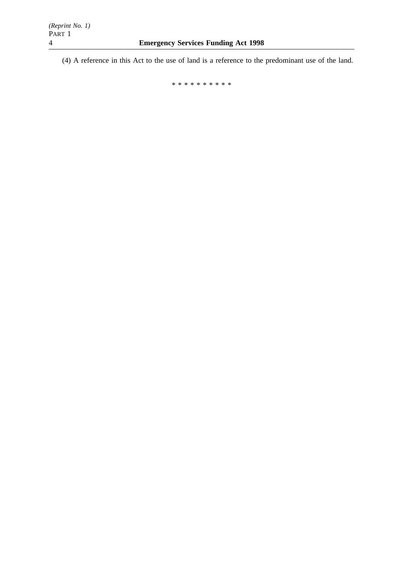(4) A reference in this Act to the use of land is a reference to the predominant use of the land.

\*\*\*\*\*\*\*\*\*\*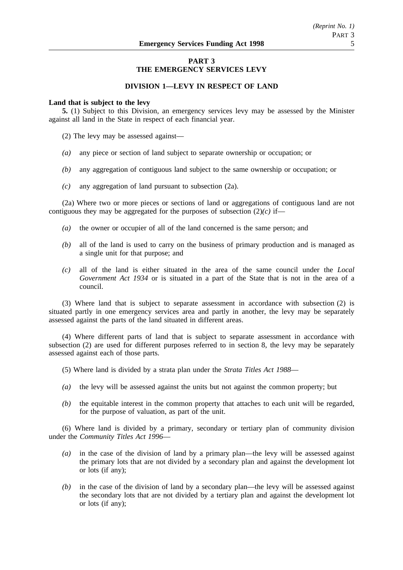# **PART 3 THE EMERGENCY SERVICES LEVY**

# **DIVISION 1—LEVY IN RESPECT OF LAND**

### **Land that is subject to the levy**

**5.** (1) Subject to this Division, an emergency services levy may be assessed by the Minister against all land in the State in respect of each financial year.

(2) The levy may be assessed against—

- *(a)* any piece or section of land subject to separate ownership or occupation; or
- *(b)* any aggregation of contiguous land subject to the same ownership or occupation; or
- *(c)* any aggregation of land pursuant to subsection (2a).

(2a) Where two or more pieces or sections of land or aggregations of contiguous land are not contiguous they may be aggregated for the purposes of subsection  $(2)(c)$  if—

- *(a)* the owner or occupier of all of the land concerned is the same person; and
- *(b)* all of the land is used to carry on the business of primary production and is managed as a single unit for that purpose; and
- *(c)* all of the land is either situated in the area of the same council under the *Local Government Act 1934* or is situated in a part of the State that is not in the area of a council.

(3) Where land that is subject to separate assessment in accordance with subsection (2) is situated partly in one emergency services area and partly in another, the levy may be separately assessed against the parts of the land situated in different areas.

(4) Where different parts of land that is subject to separate assessment in accordance with subsection (2) are used for different purposes referred to in section 8, the levy may be separately assessed against each of those parts.

- (5) Where land is divided by a strata plan under the *Strata Titles Act 1988*—
- *(a)* the levy will be assessed against the units but not against the common property; but
- *(b)* the equitable interest in the common property that attaches to each unit will be regarded, for the purpose of valuation, as part of the unit.

(6) Where land is divided by a primary, secondary or tertiary plan of community division under the *Community Titles Act 1996*—

- *(a)* in the case of the division of land by a primary plan—the levy will be assessed against the primary lots that are not divided by a secondary plan and against the development lot or lots (if any);
- *(b)* in the case of the division of land by a secondary plan—the levy will be assessed against the secondary lots that are not divided by a tertiary plan and against the development lot or lots (if any);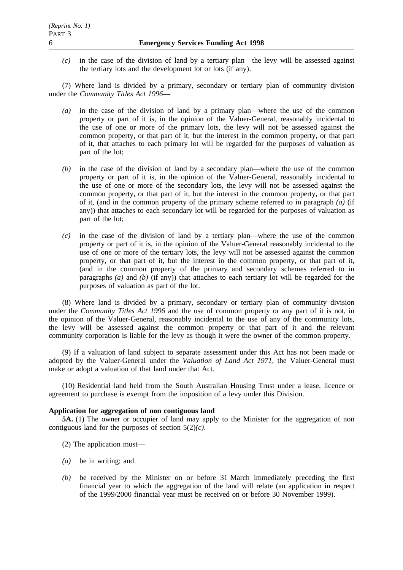*(c)* in the case of the division of land by a tertiary plan—the levy will be assessed against the tertiary lots and the development lot or lots (if any).

(7) Where land is divided by a primary, secondary or tertiary plan of community division under the *Community Titles Act 1996*—

- *(a)* in the case of the division of land by a primary plan—where the use of the common property or part of it is, in the opinion of the Valuer-General, reasonably incidental to the use of one or more of the primary lots, the levy will not be assessed against the common property, or that part of it, but the interest in the common property, or that part of it, that attaches to each primary lot will be regarded for the purposes of valuation as part of the lot;
- *(b)* in the case of the division of land by a secondary plan—where the use of the common property or part of it is, in the opinion of the Valuer-General, reasonably incidental to the use of one or more of the secondary lots, the levy will not be assessed against the common property, or that part of it, but the interest in the common property, or that part of it, (and in the common property of the primary scheme referred to in paragraph *(a)* (if any)) that attaches to each secondary lot will be regarded for the purposes of valuation as part of the lot;
- *(c)* in the case of the division of land by a tertiary plan—where the use of the common property or part of it is, in the opinion of the Valuer-General reasonably incidental to the use of one or more of the tertiary lots, the levy will not be assessed against the common property, or that part of it, but the interest in the common property, or that part of it, (and in the common property of the primary and secondary schemes referred to in paragraphs *(a)* and *(b)* (if any)) that attaches to each tertiary lot will be regarded for the purposes of valuation as part of the lot.

(8) Where land is divided by a primary, secondary or tertiary plan of community division under the *Community Titles Act 1996* and the use of common property or any part of it is not, in the opinion of the Valuer-General, reasonably incidental to the use of any of the community lots, the levy will be assessed against the common property or that part of it and the relevant community corporation is liable for the levy as though it were the owner of the common property.

(9) If a valuation of land subject to separate assessment under this Act has not been made or adopted by the Valuer-General under the *Valuation of Land Act 1971*, the Valuer-General must make or adopt a valuation of that land under that Act.

(10) Residential land held from the South Australian Housing Trust under a lease, licence or agreement to purchase is exempt from the imposition of a levy under this Division.

# **Application for aggregation of non contiguous land**

**5A.** (1) The owner or occupier of land may apply to the Minister for the aggregation of non contiguous land for the purposes of section 5(2)*(c)*.

- (2) The application must—
- *(a)* be in writing; and
- *(b)* be received by the Minister on or before 31 March immediately preceding the first financial year to which the aggregation of the land will relate (an application in respect of the 1999/2000 financial year must be received on or before 30 November 1999).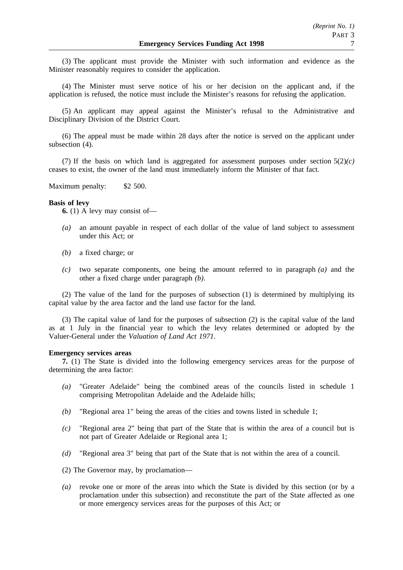(3) The applicant must provide the Minister with such information and evidence as the Minister reasonably requires to consider the application.

(4) The Minister must serve notice of his or her decision on the applicant and, if the application is refused, the notice must include the Minister's reasons for refusing the application.

(5) An applicant may appeal against the Minister's refusal to the Administrative and Disciplinary Division of the District Court.

(6) The appeal must be made within 28 days after the notice is served on the applicant under subsection (4).

(7) If the basis on which land is aggregated for assessment purposes under section  $5(2)(c)$ ceases to exist, the owner of the land must immediately inform the Minister of that fact.

Maximum penalty: \$2 500.

#### **Basis of levy**

**6.** (1) A levy may consist of—

- *(a)* an amount payable in respect of each dollar of the value of land subject to assessment under this Act; or
- *(b)* a fixed charge; or
- *(c)* two separate components, one being the amount referred to in paragraph *(a)* and the other a fixed charge under paragraph *(b)*.

(2) The value of the land for the purposes of subsection (1) is determined by multiplying its capital value by the area factor and the land use factor for the land.

(3) The capital value of land for the purposes of subsection (2) is the capital value of the land as at 1 July in the financial year to which the levy relates determined or adopted by the Valuer-General under the *Valuation of Land Act 1971*.

#### **Emergency services areas**

**7.** (1) The State is divided into the following emergency services areas for the purpose of determining the area factor:

- *(a)* "Greater Adelaide" being the combined areas of the councils listed in schedule 1 comprising Metropolitan Adelaide and the Adelaide hills;
- *(b)* "Regional area 1" being the areas of the cities and towns listed in schedule 1;
- *(c)* "Regional area 2" being that part of the State that is within the area of a council but is not part of Greater Adelaide or Regional area 1;
- *(d)* "Regional area 3" being that part of the State that is not within the area of a council.
- (2) The Governor may, by proclamation—
- *(a)* revoke one or more of the areas into which the State is divided by this section (or by a proclamation under this subsection) and reconstitute the part of the State affected as one or more emergency services areas for the purposes of this Act; or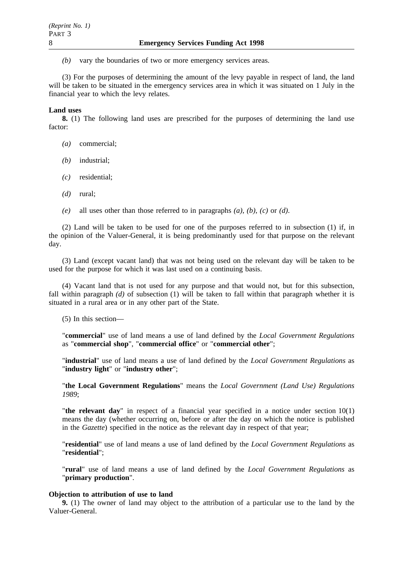*(b)* vary the boundaries of two or more emergency services areas.

(3) For the purposes of determining the amount of the levy payable in respect of land, the land will be taken to be situated in the emergency services area in which it was situated on 1 July in the financial year to which the levy relates.

#### **Land uses**

**8.** (1) The following land uses are prescribed for the purposes of determining the land use factor:

- *(a)* commercial;
- *(b)* industrial;
- *(c)* residential;
- *(d)* rural;
- *(e)* all uses other than those referred to in paragraphs *(a)*, *(b)*, *(c)* or *(d)*.

(2) Land will be taken to be used for one of the purposes referred to in subsection (1) if, in the opinion of the Valuer-General, it is being predominantly used for that purpose on the relevant day.

(3) Land (except vacant land) that was not being used on the relevant day will be taken to be used for the purpose for which it was last used on a continuing basis.

(4) Vacant land that is not used for any purpose and that would not, but for this subsection, fall within paragraph *(d)* of subsection (1) will be taken to fall within that paragraph whether it is situated in a rural area or in any other part of the State.

(5) In this section—

"**commercial**" use of land means a use of land defined by the *Local Government Regulations* as "**commercial shop**", "**commercial office**" or "**commercial other**";

"**industrial**" use of land means a use of land defined by the *Local Government Regulations* as "**industry light**" or "**industry other**";

"**the Local Government Regulations**" means the *Local Government (Land Use) Regulations 1989*;

"**the relevant day**" in respect of a financial year specified in a notice under section 10(1) means the day (whether occurring on, before or after the day on which the notice is published in the *Gazette*) specified in the notice as the relevant day in respect of that year;

"**residential**" use of land means a use of land defined by the *Local Government Regulations* as "**residential**";

"**rural**" use of land means a use of land defined by the *Local Government Regulations* as "**primary production**".

# **Objection to attribution of use to land**

**9.** (1) The owner of land may object to the attribution of a particular use to the land by the Valuer-General.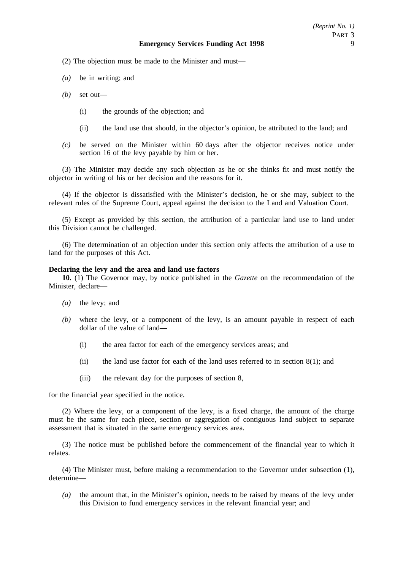(2) The objection must be made to the Minister and must—

- *(a)* be in writing; and
- *(b)* set out—
	- (i) the grounds of the objection; and
	- (ii) the land use that should, in the objector's opinion, be attributed to the land; and
- *(c)* be served on the Minister within 60 days after the objector receives notice under section 16 of the levy payable by him or her.

(3) The Minister may decide any such objection as he or she thinks fit and must notify the objector in writing of his or her decision and the reasons for it.

(4) If the objector is dissatisfied with the Minister's decision, he or she may, subject to the relevant rules of the Supreme Court, appeal against the decision to the Land and Valuation Court.

(5) Except as provided by this section, the attribution of a particular land use to land under this Division cannot be challenged.

(6) The determination of an objection under this section only affects the attribution of a use to land for the purposes of this Act.

#### **Declaring the levy and the area and land use factors**

**10.** (1) The Governor may, by notice published in the *Gazette* on the recommendation of the Minister, declare—

- *(a)* the levy; and
- *(b)* where the levy, or a component of the levy, is an amount payable in respect of each dollar of the value of land—
	- (i) the area factor for each of the emergency services areas; and
	- (ii) the land use factor for each of the land uses referred to in section  $8(1)$ ; and
	- (iii) the relevant day for the purposes of section 8,

for the financial year specified in the notice.

(2) Where the levy, or a component of the levy, is a fixed charge, the amount of the charge must be the same for each piece, section or aggregation of contiguous land subject to separate assessment that is situated in the same emergency services area.

(3) The notice must be published before the commencement of the financial year to which it relates.

(4) The Minister must, before making a recommendation to the Governor under subsection (1), determine—

*(a)* the amount that, in the Minister's opinion, needs to be raised by means of the levy under this Division to fund emergency services in the relevant financial year; and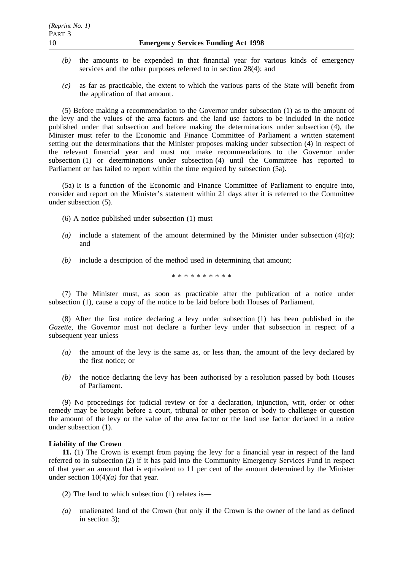- *(b)* the amounts to be expended in that financial year for various kinds of emergency services and the other purposes referred to in section 28(4); and
- *(c)* as far as practicable, the extent to which the various parts of the State will benefit from the application of that amount.

(5) Before making a recommendation to the Governor under subsection (1) as to the amount of the levy and the values of the area factors and the land use factors to be included in the notice published under that subsection and before making the determinations under subsection (4), the Minister must refer to the Economic and Finance Committee of Parliament a written statement setting out the determinations that the Minister proposes making under subsection (4) in respect of the relevant financial year and must not make recommendations to the Governor under subsection (1) or determinations under subsection (4) until the Committee has reported to Parliament or has failed to report within the time required by subsection (5a).

(5a) It is a function of the Economic and Finance Committee of Parliament to enquire into, consider and report on the Minister's statement within 21 days after it is referred to the Committee under subsection (5).

(6) A notice published under subsection (1) must—

- (a) include a statement of the amount determined by the Minister under subsection  $(4)(a)$ ; and
- *(b)* include a description of the method used in determining that amount;

\*\*\*\*\*\*\*\*\*\*

(7) The Minister must, as soon as practicable after the publication of a notice under subsection (1), cause a copy of the notice to be laid before both Houses of Parliament.

(8) After the first notice declaring a levy under subsection (1) has been published in the *Gazette*, the Governor must not declare a further levy under that subsection in respect of a subsequent year unless—

- *(a)* the amount of the levy is the same as, or less than, the amount of the levy declared by the first notice; or
- *(b)* the notice declaring the levy has been authorised by a resolution passed by both Houses of Parliament.

(9) No proceedings for judicial review or for a declaration, injunction, writ, order or other remedy may be brought before a court, tribunal or other person or body to challenge or question the amount of the levy or the value of the area factor or the land use factor declared in a notice under subsection (1).

## **Liability of the Crown**

**11.** (1) The Crown is exempt from paying the levy for a financial year in respect of the land referred to in subsection (2) if it has paid into the Community Emergency Services Fund in respect of that year an amount that is equivalent to 11 per cent of the amount determined by the Minister under section  $10(4)(a)$  for that year.

- (2) The land to which subsection (1) relates is—
- *(a)* unalienated land of the Crown (but only if the Crown is the owner of the land as defined in section 3);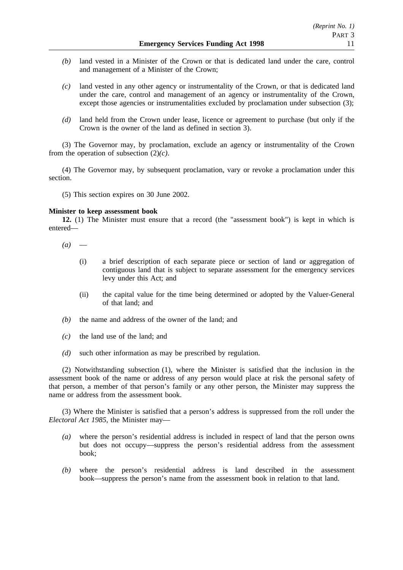- *(b)* land vested in a Minister of the Crown or that is dedicated land under the care, control and management of a Minister of the Crown;
- *(c)* land vested in any other agency or instrumentality of the Crown, or that is dedicated land under the care, control and management of an agency or instrumentality of the Crown, except those agencies or instrumentalities excluded by proclamation under subsection (3);
- *(d)* land held from the Crown under lease, licence or agreement to purchase (but only if the Crown is the owner of the land as defined in section 3).

(3) The Governor may, by proclamation, exclude an agency or instrumentality of the Crown from the operation of subsection (2)*(c)*.

(4) The Governor may, by subsequent proclamation, vary or revoke a proclamation under this section.

(5) This section expires on 30 June 2002.

## **Minister to keep assessment book**

**12.** (1) The Minister must ensure that a record (the "assessment book") is kept in which is entered—

- $(a)$ 
	- (i) a brief description of each separate piece or section of land or aggregation of contiguous land that is subject to separate assessment for the emergency services levy under this Act; and
	- (ii) the capital value for the time being determined or adopted by the Valuer-General of that land; and
- *(b)* the name and address of the owner of the land; and
- *(c)* the land use of the land; and
- *(d)* such other information as may be prescribed by regulation.

(2) Notwithstanding subsection (1), where the Minister is satisfied that the inclusion in the assessment book of the name or address of any person would place at risk the personal safety of that person, a member of that person's family or any other person, the Minister may suppress the name or address from the assessment book.

(3) Where the Minister is satisfied that a person's address is suppressed from the roll under the *Electoral Act 1985*, the Minister may—

- *(a)* where the person's residential address is included in respect of land that the person owns but does not occupy—suppress the person's residential address from the assessment book;
- *(b)* where the person's residential address is land described in the assessment book—suppress the person's name from the assessment book in relation to that land.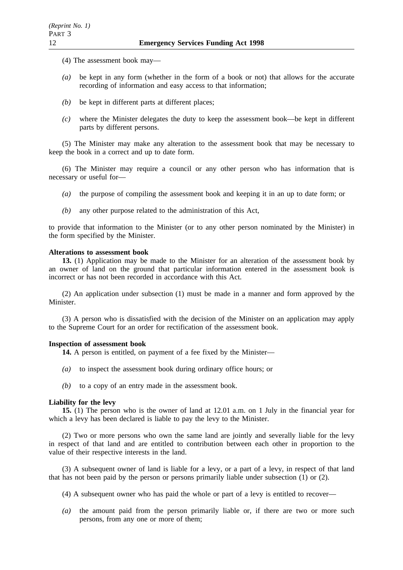- (4) The assessment book may—
- *(a)* be kept in any form (whether in the form of a book or not) that allows for the accurate recording of information and easy access to that information;
- *(b)* be kept in different parts at different places;
- *(c)* where the Minister delegates the duty to keep the assessment book—be kept in different parts by different persons.

(5) The Minister may make any alteration to the assessment book that may be necessary to keep the book in a correct and up to date form.

(6) The Minister may require a council or any other person who has information that is necessary or useful for—

- *(a)* the purpose of compiling the assessment book and keeping it in an up to date form; or
- *(b)* any other purpose related to the administration of this Act,

to provide that information to the Minister (or to any other person nominated by the Minister) in the form specified by the Minister.

#### **Alterations to assessment book**

**13.** (1) Application may be made to the Minister for an alteration of the assessment book by an owner of land on the ground that particular information entered in the assessment book is incorrect or has not been recorded in accordance with this Act.

(2) An application under subsection (1) must be made in a manner and form approved by the Minister.

(3) A person who is dissatisfied with the decision of the Minister on an application may apply to the Supreme Court for an order for rectification of the assessment book.

#### **Inspection of assessment book**

- **14.** A person is entitled, on payment of a fee fixed by the Minister—
- *(a)* to inspect the assessment book during ordinary office hours; or
- *(b)* to a copy of an entry made in the assessment book.

#### **Liability for the levy**

**15.** (1) The person who is the owner of land at 12.01 a.m. on 1 July in the financial year for which a levy has been declared is liable to pay the levy to the Minister.

(2) Two or more persons who own the same land are jointly and severally liable for the levy in respect of that land and are entitled to contribution between each other in proportion to the value of their respective interests in the land.

(3) A subsequent owner of land is liable for a levy, or a part of a levy, in respect of that land that has not been paid by the person or persons primarily liable under subsection  $(1)$  or  $(2)$ .

- (4) A subsequent owner who has paid the whole or part of a levy is entitled to recover—
- *(a)* the amount paid from the person primarily liable or, if there are two or more such persons, from any one or more of them;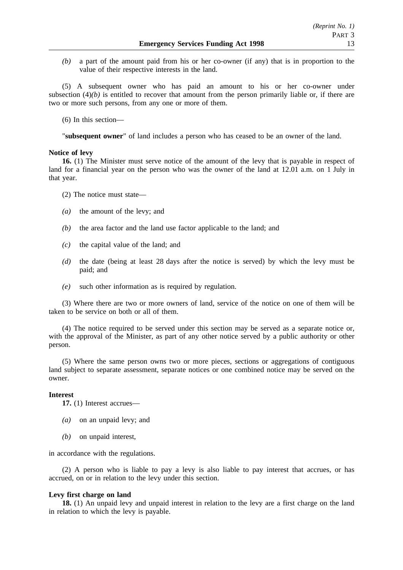*(b)* a part of the amount paid from his or her co-owner (if any) that is in proportion to the value of their respective interests in the land.

(5) A subsequent owner who has paid an amount to his or her co-owner under subsection  $(4)(b)$  is entitled to recover that amount from the person primarily liable or, if there are two or more such persons, from any one or more of them.

(6) In this section—

"**subsequent owner**" of land includes a person who has ceased to be an owner of the land.

## **Notice of levy**

**16.** (1) The Minister must serve notice of the amount of the levy that is payable in respect of land for a financial year on the person who was the owner of the land at 12.01 a.m. on 1 July in that year.

(2) The notice must state—

- *(a)* the amount of the levy; and
- *(b)* the area factor and the land use factor applicable to the land; and
- *(c)* the capital value of the land; and
- *(d)* the date (being at least 28 days after the notice is served) by which the levy must be paid; and
- *(e)* such other information as is required by regulation.

(3) Where there are two or more owners of land, service of the notice on one of them will be taken to be service on both or all of them.

(4) The notice required to be served under this section may be served as a separate notice or, with the approval of the Minister, as part of any other notice served by a public authority or other person.

(5) Where the same person owns two or more pieces, sections or aggregations of contiguous land subject to separate assessment, separate notices or one combined notice may be served on the owner.

# **Interest**

**17.** (1) Interest accrues—

- *(a)* on an unpaid levy; and
- *(b)* on unpaid interest,

in accordance with the regulations.

(2) A person who is liable to pay a levy is also liable to pay interest that accrues, or has accrued, on or in relation to the levy under this section.

## **Levy first charge on land**

**18.** (1) An unpaid levy and unpaid interest in relation to the levy are a first charge on the land in relation to which the levy is payable.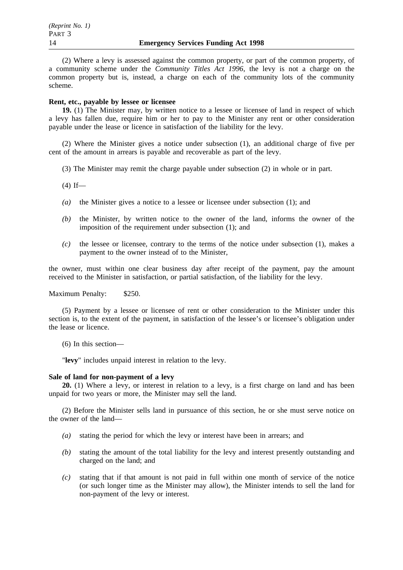(2) Where a levy is assessed against the common property, or part of the common property, of a community scheme under the *Community Titles Act 1996*, the levy is not a charge on the common property but is, instead, a charge on each of the community lots of the community scheme.

# **Rent, etc., payable by lessee or licensee**

**19.** (1) The Minister may, by written notice to a lessee or licensee of land in respect of which a levy has fallen due, require him or her to pay to the Minister any rent or other consideration payable under the lease or licence in satisfaction of the liability for the levy.

(2) Where the Minister gives a notice under subsection (1), an additional charge of five per cent of the amount in arrears is payable and recoverable as part of the levy.

- (3) The Minister may remit the charge payable under subsection (2) in whole or in part.
- $(4)$  If—
- *(a)* the Minister gives a notice to a lessee or licensee under subsection (1); and
- *(b)* the Minister, by written notice to the owner of the land, informs the owner of the imposition of the requirement under subsection (1); and
- *(c)* the lessee or licensee, contrary to the terms of the notice under subsection (1), makes a payment to the owner instead of to the Minister,

the owner, must within one clear business day after receipt of the payment, pay the amount received to the Minister in satisfaction, or partial satisfaction, of the liability for the levy.

Maximum Penalty: \$250.

(5) Payment by a lessee or licensee of rent or other consideration to the Minister under this section is, to the extent of the payment, in satisfaction of the lessee's or licensee's obligation under the lease or licence.

(6) In this section—

"**levy**" includes unpaid interest in relation to the levy.

#### **Sale of land for non-payment of a levy**

**20.** (1) Where a levy, or interest in relation to a levy, is a first charge on land and has been unpaid for two years or more, the Minister may sell the land.

(2) Before the Minister sells land in pursuance of this section, he or she must serve notice on the owner of the land—

- *(a)* stating the period for which the levy or interest have been in arrears; and
- *(b)* stating the amount of the total liability for the levy and interest presently outstanding and charged on the land; and
- *(c)* stating that if that amount is not paid in full within one month of service of the notice (or such longer time as the Minister may allow), the Minister intends to sell the land for non-payment of the levy or interest.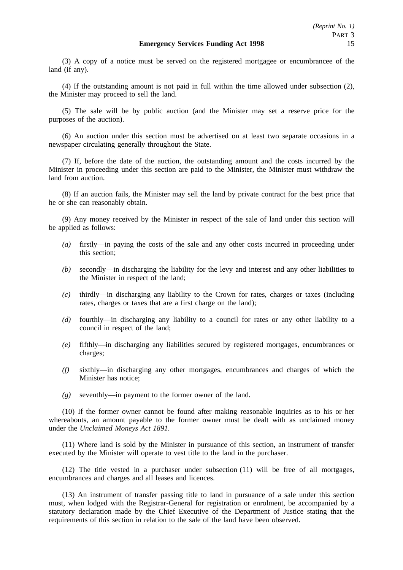(3) A copy of a notice must be served on the registered mortgagee or encumbrancee of the land (if any).

(4) If the outstanding amount is not paid in full within the time allowed under subsection (2), the Minister may proceed to sell the land.

(5) The sale will be by public auction (and the Minister may set a reserve price for the purposes of the auction).

(6) An auction under this section must be advertised on at least two separate occasions in a newspaper circulating generally throughout the State.

(7) If, before the date of the auction, the outstanding amount and the costs incurred by the Minister in proceeding under this section are paid to the Minister, the Minister must withdraw the land from auction.

(8) If an auction fails, the Minister may sell the land by private contract for the best price that he or she can reasonably obtain.

(9) Any money received by the Minister in respect of the sale of land under this section will be applied as follows:

- *(a)* firstly—in paying the costs of the sale and any other costs incurred in proceeding under this section;
- *(b)* secondly—in discharging the liability for the levy and interest and any other liabilities to the Minister in respect of the land;
- *(c)* thirdly—in discharging any liability to the Crown for rates, charges or taxes (including rates, charges or taxes that are a first charge on the land);
- *(d)* fourthly—in discharging any liability to a council for rates or any other liability to a council in respect of the land;
- *(e)* fifthly—in discharging any liabilities secured by registered mortgages, encumbrances or charges;
- *(f)* sixthly—in discharging any other mortgages, encumbrances and charges of which the Minister has notice;
- *(g)* seventhly—in payment to the former owner of the land.

(10) If the former owner cannot be found after making reasonable inquiries as to his or her whereabouts, an amount payable to the former owner must be dealt with as unclaimed money under the *Unclaimed Moneys Act 1891*.

(11) Where land is sold by the Minister in pursuance of this section, an instrument of transfer executed by the Minister will operate to vest title to the land in the purchaser.

(12) The title vested in a purchaser under subsection (11) will be free of all mortgages, encumbrances and charges and all leases and licences.

(13) An instrument of transfer passing title to land in pursuance of a sale under this section must, when lodged with the Registrar-General for registration or enrolment, be accompanied by a statutory declaration made by the Chief Executive of the Department of Justice stating that the requirements of this section in relation to the sale of the land have been observed.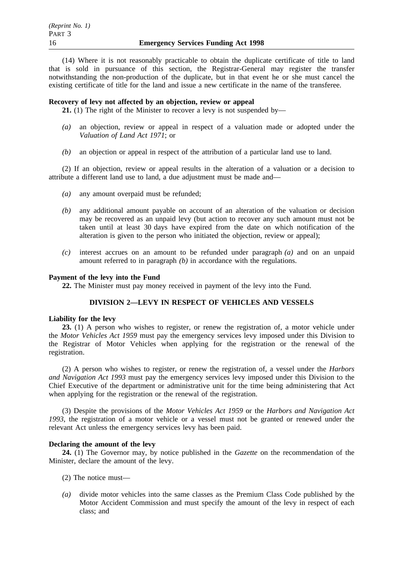(14) Where it is not reasonably practicable to obtain the duplicate certificate of title to land that is sold in pursuance of this section, the Registrar-General may register the transfer notwithstanding the non-production of the duplicate, but in that event he or she must cancel the existing certificate of title for the land and issue a new certificate in the name of the transferee.

## **Recovery of levy not affected by an objection, review or appeal**

**21.** (1) The right of the Minister to recover a levy is not suspended by—

- *(a)* an objection, review or appeal in respect of a valuation made or adopted under the *Valuation of Land Act 1971*; or
- *(b)* an objection or appeal in respect of the attribution of a particular land use to land.

(2) If an objection, review or appeal results in the alteration of a valuation or a decision to attribute a different land use to land, a due adjustment must be made and—

- *(a)* any amount overpaid must be refunded;
- *(b)* any additional amount payable on account of an alteration of the valuation or decision may be recovered as an unpaid levy (but action to recover any such amount must not be taken until at least 30 days have expired from the date on which notification of the alteration is given to the person who initiated the objection, review or appeal);
- *(c)* interest accrues on an amount to be refunded under paragraph *(a)* and on an unpaid amount referred to in paragraph *(b)* in accordance with the regulations.

# **Payment of the levy into the Fund**

**22.** The Minister must pay money received in payment of the levy into the Fund.

# **DIVISION 2—LEVY IN RESPECT OF VEHICLES AND VESSELS**

## **Liability for the levy**

**23.** (1) A person who wishes to register, or renew the registration of, a motor vehicle under the *Motor Vehicles Act 1959* must pay the emergency services levy imposed under this Division to the Registrar of Motor Vehicles when applying for the registration or the renewal of the registration.

(2) A person who wishes to register, or renew the registration of, a vessel under the *Harbors and Navigation Act 1993* must pay the emergency services levy imposed under this Division to the Chief Executive of the department or administrative unit for the time being administering that Act when applying for the registration or the renewal of the registration.

(3) Despite the provisions of the *Motor Vehicles Act 1959* or the *Harbors and Navigation Act 1993*, the registration of a motor vehicle or a vessel must not be granted or renewed under the relevant Act unless the emergency services levy has been paid.

# **Declaring the amount of the levy**

**24.** (1) The Governor may, by notice published in the *Gazette* on the recommendation of the Minister, declare the amount of the levy.

- (2) The notice must—
- *(a)* divide motor vehicles into the same classes as the Premium Class Code published by the Motor Accident Commission and must specify the amount of the levy in respect of each class; and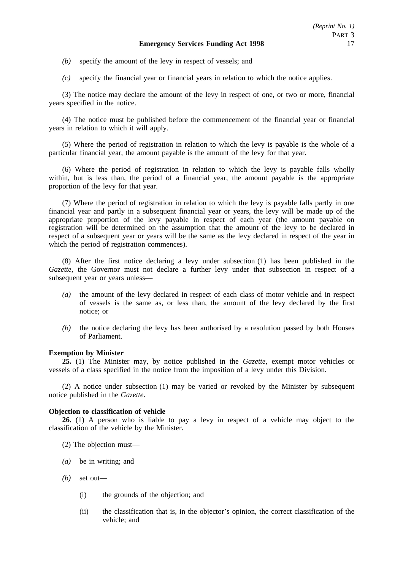- *(b)* specify the amount of the levy in respect of vessels; and
- *(c)* specify the financial year or financial years in relation to which the notice applies.

(3) The notice may declare the amount of the levy in respect of one, or two or more, financial years specified in the notice.

(4) The notice must be published before the commencement of the financial year or financial years in relation to which it will apply.

(5) Where the period of registration in relation to which the levy is payable is the whole of a particular financial year, the amount payable is the amount of the levy for that year.

(6) Where the period of registration in relation to which the levy is payable falls wholly within, but is less than, the period of a financial year, the amount payable is the appropriate proportion of the levy for that year.

(7) Where the period of registration in relation to which the levy is payable falls partly in one financial year and partly in a subsequent financial year or years, the levy will be made up of the appropriate proportion of the levy payable in respect of each year (the amount payable on registration will be determined on the assumption that the amount of the levy to be declared in respect of a subsequent year or years will be the same as the levy declared in respect of the year in which the period of registration commences).

(8) After the first notice declaring a levy under subsection (1) has been published in the *Gazette*, the Governor must not declare a further levy under that subsection in respect of a subsequent year or years unless—

- *(a)* the amount of the levy declared in respect of each class of motor vehicle and in respect of vessels is the same as, or less than, the amount of the levy declared by the first notice; or
- *(b)* the notice declaring the levy has been authorised by a resolution passed by both Houses of Parliament.

## **Exemption by Minister**

**25.** (1) The Minister may, by notice published in the *Gazette*, exempt motor vehicles or vessels of a class specified in the notice from the imposition of a levy under this Division.

(2) A notice under subsection (1) may be varied or revoked by the Minister by subsequent notice published in the *Gazette*.

## **Objection to classification of vehicle**

**26.** (1) A person who is liable to pay a levy in respect of a vehicle may object to the classification of the vehicle by the Minister.

- (2) The objection must—
- *(a)* be in writing; and
- *(b)* set out—
	- (i) the grounds of the objection; and
	- (ii) the classification that is, in the objector's opinion, the correct classification of the vehicle; and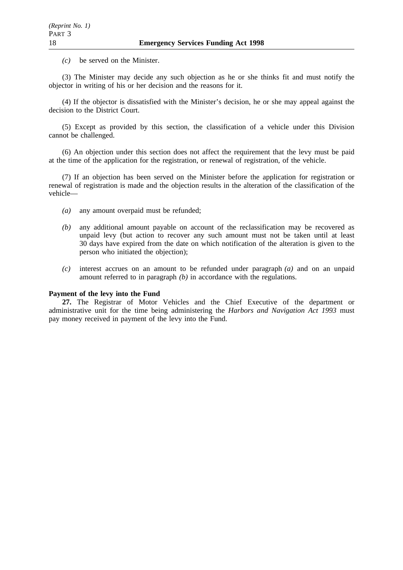(3) The Minister may decide any such objection as he or she thinks fit and must notify the objector in writing of his or her decision and the reasons for it.

(4) If the objector is dissatisfied with the Minister's decision, he or she may appeal against the decision to the District Court.

(5) Except as provided by this section, the classification of a vehicle under this Division cannot be challenged.

(6) An objection under this section does not affect the requirement that the levy must be paid at the time of the application for the registration, or renewal of registration, of the vehicle.

(7) If an objection has been served on the Minister before the application for registration or renewal of registration is made and the objection results in the alteration of the classification of the vehicle—

- *(a)* any amount overpaid must be refunded;
- *(b)* any additional amount payable on account of the reclassification may be recovered as unpaid levy (but action to recover any such amount must not be taken until at least 30 days have expired from the date on which notification of the alteration is given to the person who initiated the objection);
- *(c)* interest accrues on an amount to be refunded under paragraph *(a)* and on an unpaid amount referred to in paragraph *(b)* in accordance with the regulations.

### **Payment of the levy into the Fund**

**27.** The Registrar of Motor Vehicles and the Chief Executive of the department or administrative unit for the time being administering the *Harbors and Navigation Act 1993* must pay money received in payment of the levy into the Fund.

*(Reprint No. 1)*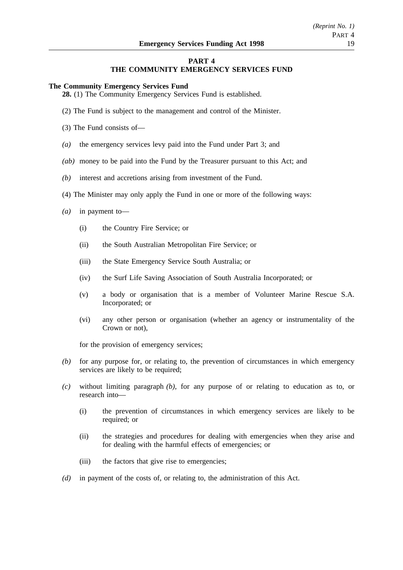# **PART 4**

# **THE COMMUNITY EMERGENCY SERVICES FUND**

#### **The Community Emergency Services Fund**

**28.** (1) The Community Emergency Services Fund is established.

- (2) The Fund is subject to the management and control of the Minister.
- (3) The Fund consists of—
- *(a)* the emergency services levy paid into the Fund under Part 3; and
- *(ab)* money to be paid into the Fund by the Treasurer pursuant to this Act; and
- *(b)* interest and accretions arising from investment of the Fund.
- (4) The Minister may only apply the Fund in one or more of the following ways:
- *(a)* in payment to—
	- (i) the Country Fire Service; or
	- (ii) the South Australian Metropolitan Fire Service; or
	- (iii) the State Emergency Service South Australia; or
	- (iv) the Surf Life Saving Association of South Australia Incorporated; or
	- (v) a body or organisation that is a member of Volunteer Marine Rescue S.A. Incorporated; or
	- (vi) any other person or organisation (whether an agency or instrumentality of the Crown or not),

for the provision of emergency services;

- *(b)* for any purpose for, or relating to, the prevention of circumstances in which emergency services are likely to be required;
- *(c)* without limiting paragraph *(b)*, for any purpose of or relating to education as to, or research into—
	- (i) the prevention of circumstances in which emergency services are likely to be required; or
	- (ii) the strategies and procedures for dealing with emergencies when they arise and for dealing with the harmful effects of emergencies; or
	- (iii) the factors that give rise to emergencies;
- *(d)* in payment of the costs of, or relating to, the administration of this Act.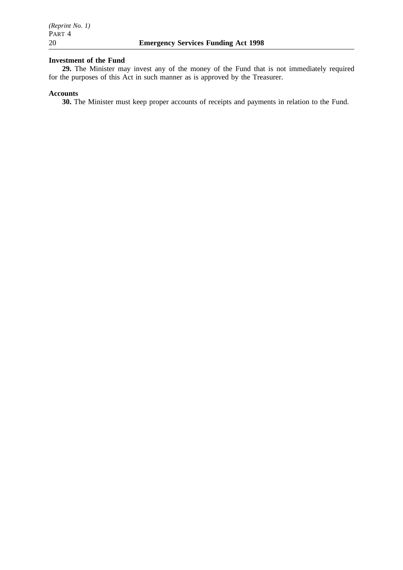# **Investment of the Fund**

**29.** The Minister may invest any of the money of the Fund that is not immediately required for the purposes of this Act in such manner as is approved by the Treasurer.

## **Accounts**

**30.** The Minister must keep proper accounts of receipts and payments in relation to the Fund.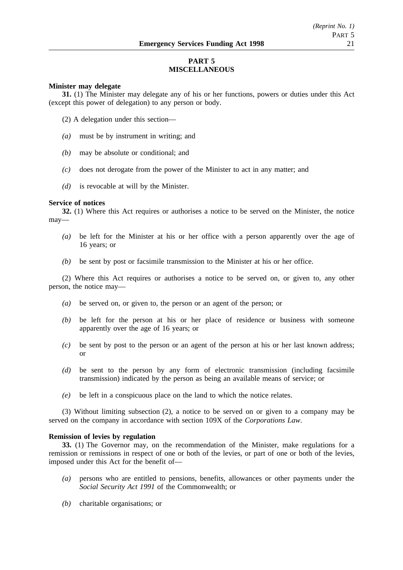# **PART 5 MISCELLANEOUS**

# **Minister may delegate**

**31.** (1) The Minister may delegate any of his or her functions, powers or duties under this Act (except this power of delegation) to any person or body.

- (2) A delegation under this section—
- *(a)* must be by instrument in writing; and
- *(b)* may be absolute or conditional; and
- *(c)* does not derogate from the power of the Minister to act in any matter; and
- *(d)* is revocable at will by the Minister.

#### **Service of notices**

**32.** (1) Where this Act requires or authorises a notice to be served on the Minister, the notice may—

- *(a)* be left for the Minister at his or her office with a person apparently over the age of 16 years; or
- *(b)* be sent by post or facsimile transmission to the Minister at his or her office.

(2) Where this Act requires or authorises a notice to be served on, or given to, any other person, the notice may—

- *(a)* be served on, or given to, the person or an agent of the person; or
- *(b)* be left for the person at his or her place of residence or business with someone apparently over the age of 16 years; or
- *(c)* be sent by post to the person or an agent of the person at his or her last known address; or
- *(d)* be sent to the person by any form of electronic transmission (including facsimile transmission) indicated by the person as being an available means of service; or
- *(e)* be left in a conspicuous place on the land to which the notice relates.

(3) Without limiting subsection (2), a notice to be served on or given to a company may be served on the company in accordance with section 109X of the *Corporations Law*.

### **Remission of levies by regulation**

**33.** (1) The Governor may, on the recommendation of the Minister, make regulations for a remission or remissions in respect of one or both of the levies, or part of one or both of the levies, imposed under this Act for the benefit of—

- *(a)* persons who are entitled to pensions, benefits, allowances or other payments under the *Social Security Act 1991* of the Commonwealth; or
- *(b)* charitable organisations; or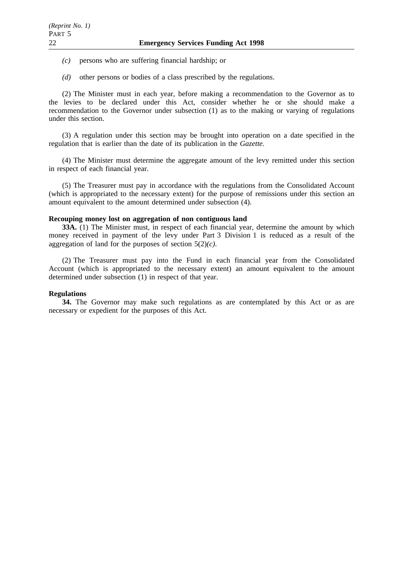- *(c)* persons who are suffering financial hardship; or
- *(d)* other persons or bodies of a class prescribed by the regulations.

(2) The Minister must in each year, before making a recommendation to the Governor as to the levies to be declared under this Act, consider whether he or she should make a recommendation to the Governor under subsection (1) as to the making or varying of regulations under this section.

(3) A regulation under this section may be brought into operation on a date specified in the regulation that is earlier than the date of its publication in the *Gazette*.

(4) The Minister must determine the aggregate amount of the levy remitted under this section in respect of each financial year.

(5) The Treasurer must pay in accordance with the regulations from the Consolidated Account (which is appropriated to the necessary extent) for the purpose of remissions under this section an amount equivalent to the amount determined under subsection (4).

# **Recouping money lost on aggregation of non contiguous land**

**33A.** (1) The Minister must, in respect of each financial year, determine the amount by which money received in payment of the levy under Part 3 Division 1 is reduced as a result of the aggregation of land for the purposes of section 5(2)*(c)*.

(2) The Treasurer must pay into the Fund in each financial year from the Consolidated Account (which is appropriated to the necessary extent) an amount equivalent to the amount determined under subsection (1) in respect of that year.

## **Regulations**

**34.** The Governor may make such regulations as are contemplated by this Act or as are necessary or expedient for the purposes of this Act.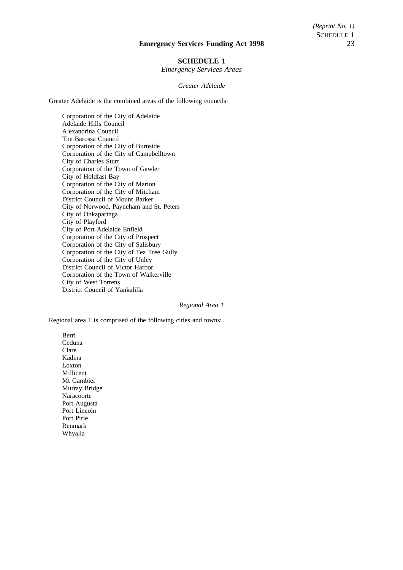## **SCHEDULE 1**

*Emergency Services Areas*

#### *Greater Adelaide*

Greater Adelaide is the combined areas of the following councils:

Corporation of the City of Adelaide Adelaide Hills Council Alexandrina Council The Barossa Council Corporation of the City of Burnside Corporation of the City of Campbelltown City of Charles Sturt Corporation of the Town of Gawler City of Holdfast Bay Corporation of the City of Marion Corporation of the City of Mitcham District Council of Mount Barker City of Norwood, Payneham and St. Peters City of Onkaparinga City of Playford City of Port Adelaide Enfield Corporation of the City of Prospect Corporation of the City of Salisbury Corporation of the City of Tea Tree Gully Corporation of the City of Unley District Council of Victor Harbor Corporation of the Town of Walkerville City of West Torrens District Council of Yankalilla

#### *Regional Area 1*

Regional area 1 is comprised of the following cities and towns:

Berri Ceduna Clare Kadina Loxton Millicent Mt Gambier Murray Bridge Naracoorte Port Augusta Port Lincoln Port Pirie Renmark Whyalla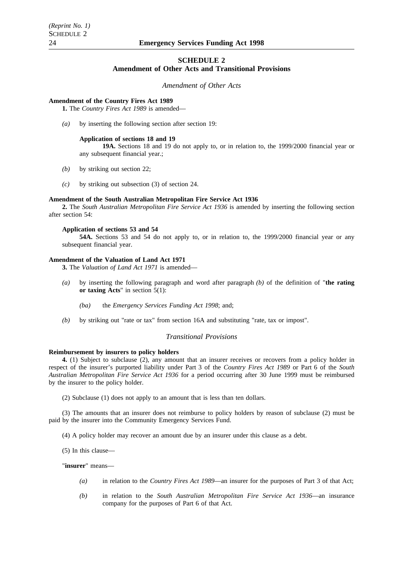#### **SCHEDULE 2**

### **Amendment of Other Acts and Transitional Provisions**

*Amendment of Other Acts*

#### **Amendment of the Country Fires Act 1989**

**1.** The *Country Fires Act 1989* is amended—

*(a)* by inserting the following section after section 19:

## **Application of sections 18 and 19**

**19A.** Sections 18 and 19 do not apply to, or in relation to, the 1999/2000 financial year or any subsequent financial year.;

- *(b)* by striking out section 22;
- *(c)* by striking out subsection (3) of section 24.

#### **Amendment of the South Australian Metropolitan Fire Service Act 1936**

**2.** The *South Australian Metropolitan Fire Service Act 1936* is amended by inserting the following section after section 54:

#### **Application of sections 53 and 54**

**54A.** Sections 53 and 54 do not apply to, or in relation to, the 1999/2000 financial year or any subsequent financial year.

#### **Amendment of the Valuation of Land Act 1971**

**3.** The *Valuation of Land Act 1971* is amended—

- *(a)* by inserting the following paragraph and word after paragraph *(b)* of the definition of "**the rating or taxing Acts**" in section 5(1):
	- *(ba)* the *Emergency Services Funding Act 1998*; and;
- *(b)* by striking out "rate or tax" from section 16A and substituting "rate, tax or impost".

### *Transitional Provisions*

#### **Reimbursement by insurers to policy holders**

**4.** (1) Subject to subclause (2), any amount that an insurer receives or recovers from a policy holder in respect of the insurer's purported liability under Part 3 of the *Country Fires Act 1989* or Part 6 of the *South Australian Metropolitan Fire Service Act 1936* for a period occurring after 30 June 1999 must be reimbursed by the insurer to the policy holder.

(2) Subclause (1) does not apply to an amount that is less than ten dollars.

(3) The amounts that an insurer does not reimburse to policy holders by reason of subclause (2) must be paid by the insurer into the Community Emergency Services Fund.

(4) A policy holder may recover an amount due by an insurer under this clause as a debt.

(5) In this clause—

"**insurer**" means—

- *(a)* in relation to the *Country Fires Act 1989*—an insurer for the purposes of Part 3 of that Act;
- *(b)* in relation to the *South Australian Metropolitan Fire Service Act 1936*—an insurance company for the purposes of Part 6 of that Act.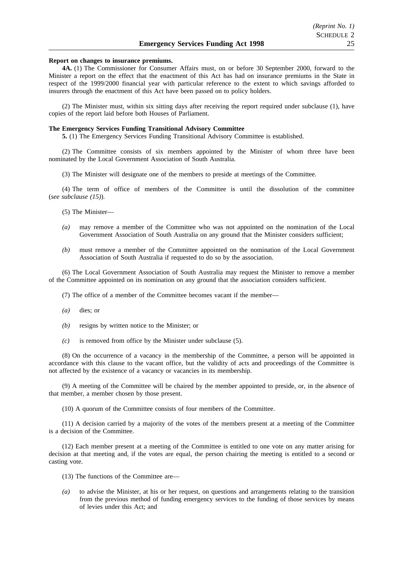#### **Report on changes to insurance premiums.**

**4A.** (1) The Commissioner for Consumer Affairs must, on or before 30 September 2000, forward to the Minister a report on the effect that the enactment of this Act has had on insurance premiums in the State in respect of the 1999/2000 financial year with particular reference to the extent to which savings afforded to insurers through the enactment of this Act have been passed on to policy holders.

(2) The Minister must, within six sitting days after receiving the report required under subclause (1), have copies of the report laid before both Houses of Parliament.

#### **The Emergency Services Funding Transitional Advisory Committee**

**5.** (1) The Emergency Services Funding Transitional Advisory Committee is established.

(2) The Committee consists of six members appointed by the Minister of whom three have been nominated by the Local Government Association of South Australia.

(3) The Minister will designate one of the members to preside at meetings of the Committee.

(4) The term of office of members of the Committee is until the dissolution of the committee (*see subclause (15)*).

(5) The Minister—

- *(a)* may remove a member of the Committee who was not appointed on the nomination of the Local Government Association of South Australia on any ground that the Minister considers sufficient;
- *(b)* must remove a member of the Committee appointed on the nomination of the Local Government Association of South Australia if requested to do so by the association.

(6) The Local Government Association of South Australia may request the Minister to remove a member of the Committee appointed on its nomination on any ground that the association considers sufficient.

(7) The office of a member of the Committee becomes vacant if the member—

- *(a)* dies; or
- *(b)* resigns by written notice to the Minister; or
- *(c)* is removed from office by the Minister under subclause (5).

(8) On the occurrence of a vacancy in the membership of the Committee, a person will be appointed in accordance with this clause to the vacant office, but the validity of acts and proceedings of the Committee is not affected by the existence of a vacancy or vacancies in its membership.

(9) A meeting of the Committee will be chaired by the member appointed to preside, or, in the absence of that member, a member chosen by those present.

(10) A quorum of the Committee consists of four members of the Committee.

(11) A decision carried by a majority of the votes of the members present at a meeting of the Committee is a decision of the Committee.

(12) Each member present at a meeting of the Committee is entitled to one vote on any matter arising for decision at that meeting and, if the votes are equal, the person chairing the meeting is entitled to a second or casting vote.

- (13) The functions of the Committee are—
- *(a)* to advise the Minister, at his or her request, on questions and arrangements relating to the transition from the previous method of funding emergency services to the funding of those services by means of levies under this Act; and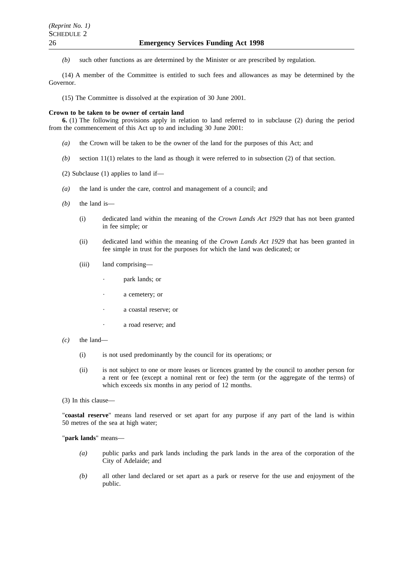*(b)* such other functions as are determined by the Minister or are prescribed by regulation.

(14) A member of the Committee is entitled to such fees and allowances as may be determined by the Governor.

(15) The Committee is dissolved at the expiration of 30 June 2001.

#### **Crown to be taken to be owner of certain land**

**6.** (1) The following provisions apply in relation to land referred to in subclause (2) during the period from the commencement of this Act up to and including 30 June 2001:

- *(a)* the Crown will be taken to be the owner of the land for the purposes of this Act; and
- *(b)* section 11(1) relates to the land as though it were referred to in subsection (2) of that section.
- (2) Subclause (1) applies to land if—
- *(a)* the land is under the care, control and management of a council; and
- *(b)* the land is—
	- (i) dedicated land within the meaning of the *Crown Lands Act 1929* that has not been granted in fee simple; or
	- (ii) dedicated land within the meaning of the *Crown Lands Act 1929* that has been granted in fee simple in trust for the purposes for which the land was dedicated; or
	- (iii) land comprising
		- park lands; or
		- a cemetery; or
		- a coastal reserve; or
		- a road reserve; and
- *(c)* the land—

 $\ddot{\phantom{a}}$ 

- (i) is not used predominantly by the council for its operations; or
- (ii) is not subject to one or more leases or licences granted by the council to another person for a rent or fee (except a nominal rent or fee) the term (or the aggregate of the terms) of which exceeds six months in any period of 12 months.
- (3) In this clause—

"**coastal reserve**" means land reserved or set apart for any purpose if any part of the land is within 50 metres of the sea at high water;

"**park lands**" means—

- *(a)* public parks and park lands including the park lands in the area of the corporation of the City of Adelaide; and
- *(b)* all other land declared or set apart as a park or reserve for the use and enjoyment of the public.